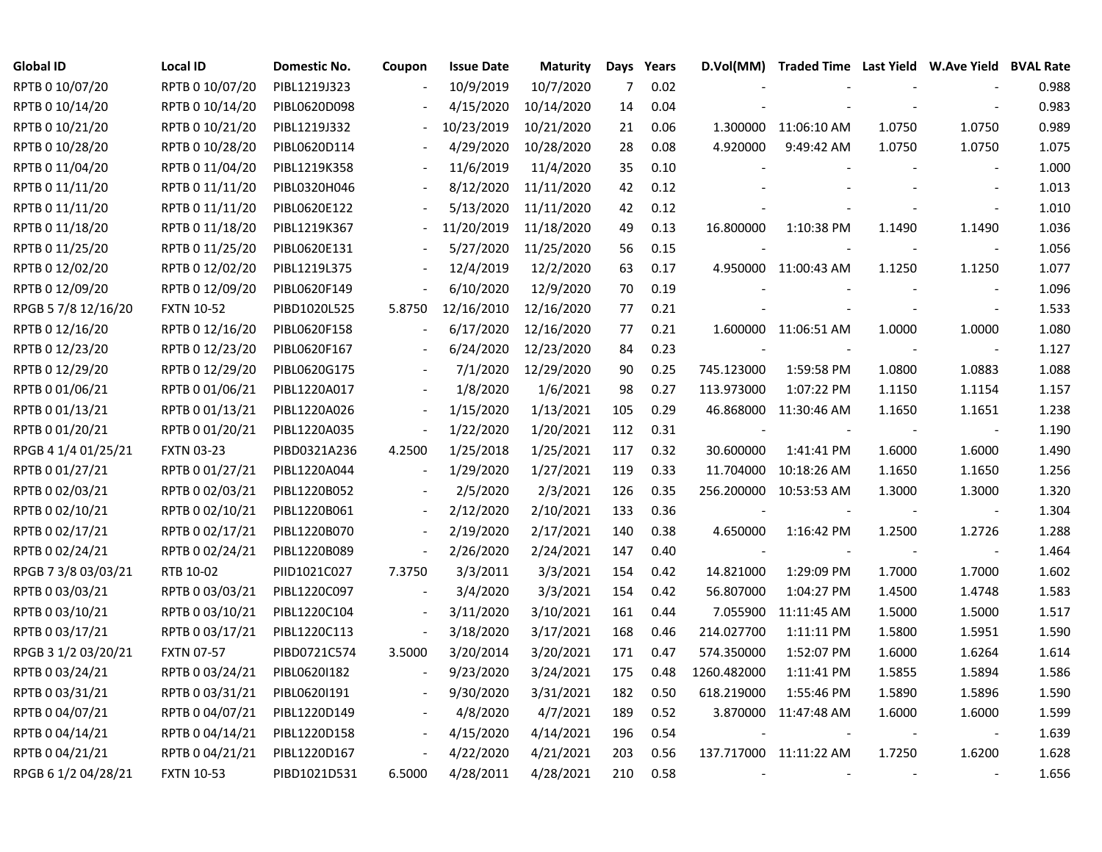| <b>Global ID</b>    | <b>Local ID</b>   | <b>Domestic No.</b> | Coupon                   | <b>Issue Date</b> | <b>Maturity</b> |     | Days Years |                          | D.Vol(MM) Traded Time Last Yield W.Ave Yield BVAL Rate |        |                          |       |
|---------------------|-------------------|---------------------|--------------------------|-------------------|-----------------|-----|------------|--------------------------|--------------------------------------------------------|--------|--------------------------|-------|
| RPTB 0 10/07/20     | RPTB 0 10/07/20   | PIBL1219J323        |                          | 10/9/2019         | 10/7/2020       | 7   | 0.02       |                          |                                                        |        |                          | 0.988 |
| RPTB 0 10/14/20     | RPTB 0 10/14/20   | PIBL0620D098        |                          | 4/15/2020         | 10/14/2020      | 14  | 0.04       |                          |                                                        |        |                          | 0.983 |
| RPTB 0 10/21/20     | RPTB 0 10/21/20   | PIBL1219J332        |                          | 10/23/2019        | 10/21/2020      | 21  | 0.06       |                          | 1.300000 11:06:10 AM                                   | 1.0750 | 1.0750                   | 0.989 |
| RPTB 0 10/28/20     | RPTB 0 10/28/20   | PIBL0620D114        |                          | 4/29/2020         | 10/28/2020      | 28  | 0.08       | 4.920000                 | 9:49:42 AM                                             | 1.0750 | 1.0750                   | 1.075 |
| RPTB 0 11/04/20     | RPTB 0 11/04/20   | PIBL1219K358        |                          | 11/6/2019         | 11/4/2020       | 35  | 0.10       |                          |                                                        |        |                          | 1.000 |
| RPTB 0 11/11/20     | RPTB 0 11/11/20   | PIBL0320H046        | $\overline{\phantom{a}}$ | 8/12/2020         | 11/11/2020      | 42  | 0.12       |                          |                                                        |        | $\overline{\phantom{a}}$ | 1.013 |
| RPTB 0 11/11/20     | RPTB 0 11/11/20   | PIBL0620E122        |                          | 5/13/2020         | 11/11/2020      | 42  | 0.12       |                          |                                                        |        |                          | 1.010 |
| RPTB 0 11/18/20     | RPTB 0 11/18/20   | PIBL1219K367        | $\overline{\phantom{a}}$ | 11/20/2019        | 11/18/2020      | 49  | 0.13       | 16.800000                | 1:10:38 PM                                             | 1.1490 | 1.1490                   | 1.036 |
| RPTB 0 11/25/20     | RPTB 0 11/25/20   | PIBL0620E131        |                          | 5/27/2020         | 11/25/2020      | 56  | 0.15       |                          |                                                        |        |                          | 1.056 |
| RPTB 0 12/02/20     | RPTB 0 12/02/20   | PIBL1219L375        |                          | 12/4/2019         | 12/2/2020       | 63  | 0.17       |                          | 4.950000 11:00:43 AM                                   | 1.1250 | 1.1250                   | 1.077 |
| RPTB 0 12/09/20     | RPTB 0 12/09/20   | PIBL0620F149        | $\blacksquare$           | 6/10/2020         | 12/9/2020       | 70  | 0.19       |                          |                                                        |        | $\blacksquare$           | 1.096 |
| RPGB 5 7/8 12/16/20 | <b>FXTN 10-52</b> | PIBD1020L525        | 5.8750                   | 12/16/2010        | 12/16/2020      | 77  | 0.21       |                          |                                                        |        | $\blacksquare$           | 1.533 |
| RPTB 0 12/16/20     | RPTB 0 12/16/20   | PIBL0620F158        |                          | 6/17/2020         | 12/16/2020      | 77  | 0.21       |                          | 1.600000 11:06:51 AM                                   | 1.0000 | 1.0000                   | 1.080 |
| RPTB 0 12/23/20     | RPTB 0 12/23/20   | PIBL0620F167        |                          | 6/24/2020         | 12/23/2020      | 84  | 0.23       |                          |                                                        |        | $\sim$                   | 1.127 |
| RPTB 0 12/29/20     | RPTB 0 12/29/20   | PIBL0620G175        |                          | 7/1/2020          | 12/29/2020      | 90  | 0.25       | 745.123000               | 1:59:58 PM                                             | 1.0800 | 1.0883                   | 1.088 |
| RPTB 0 01/06/21     | RPTB 0 01/06/21   | PIBL1220A017        |                          | 1/8/2020          | 1/6/2021        | 98  | 0.27       | 113.973000               | 1:07:22 PM                                             | 1.1150 | 1.1154                   | 1.157 |
| RPTB 0 01/13/21     | RPTB 0 01/13/21   | PIBL1220A026        | $\overline{\phantom{a}}$ | 1/15/2020         | 1/13/2021       | 105 | 0.29       |                          | 46.868000 11:30:46 AM                                  | 1.1650 | 1.1651                   | 1.238 |
| RPTB 0 01/20/21     | RPTB 0 01/20/21   | PIBL1220A035        | $\overline{\phantom{a}}$ | 1/22/2020         | 1/20/2021       | 112 | 0.31       |                          |                                                        |        | $\sim$                   | 1.190 |
| RPGB 4 1/4 01/25/21 | <b>FXTN 03-23</b> | PIBD0321A236        | 4.2500                   | 1/25/2018         | 1/25/2021       | 117 | 0.32       | 30.600000                | 1:41:41 PM                                             | 1.6000 | 1.6000                   | 1.490 |
| RPTB 0 01/27/21     | RPTB 0 01/27/21   | PIBL1220A044        | $\blacksquare$           | 1/29/2020         | 1/27/2021       | 119 | 0.33       | 11.704000                | 10:18:26 AM                                            | 1.1650 | 1.1650                   | 1.256 |
| RPTB 0 02/03/21     | RPTB 0 02/03/21   | PIBL1220B052        |                          | 2/5/2020          | 2/3/2021        | 126 | 0.35       | 256.200000               | 10:53:53 AM                                            | 1.3000 | 1.3000                   | 1.320 |
| RPTB 0 02/10/21     | RPTB 0 02/10/21   | PIBL1220B061        | $\blacksquare$           | 2/12/2020         | 2/10/2021       | 133 | 0.36       |                          |                                                        |        | $\overline{\phantom{a}}$ | 1.304 |
| RPTB 0 02/17/21     | RPTB 0 02/17/21   | PIBL1220B070        | $\overline{\phantom{a}}$ | 2/19/2020         | 2/17/2021       | 140 | 0.38       | 4.650000                 | 1:16:42 PM                                             | 1.2500 | 1.2726                   | 1.288 |
| RPTB 0 02/24/21     | RPTB 0 02/24/21   | PIBL1220B089        | $\overline{\phantom{a}}$ | 2/26/2020         | 2/24/2021       | 147 | 0.40       |                          |                                                        |        | $\sim$                   | 1.464 |
| RPGB 7 3/8 03/03/21 | RTB 10-02         | PIID1021C027        | 7.3750                   | 3/3/2011          | 3/3/2021        | 154 | 0.42       | 14.821000                | 1:29:09 PM                                             | 1.7000 | 1.7000                   | 1.602 |
| RPTB 0 03/03/21     | RPTB 0 03/03/21   | PIBL1220C097        | $\blacksquare$           | 3/4/2020          | 3/3/2021        | 154 | 0.42       | 56.807000                | 1:04:27 PM                                             | 1.4500 | 1.4748                   | 1.583 |
| RPTB 0 03/10/21     | RPTB 0 03/10/21   | PIBL1220C104        | $\overline{\phantom{a}}$ | 3/11/2020         | 3/10/2021       | 161 | 0.44       |                          | 7.055900 11:11:45 AM                                   | 1.5000 | 1.5000                   | 1.517 |
| RPTB 0 03/17/21     | RPTB 0 03/17/21   | PIBL1220C113        |                          | 3/18/2020         | 3/17/2021       | 168 | 0.46       | 214.027700               | 1:11:11 PM                                             | 1.5800 | 1.5951                   | 1.590 |
| RPGB 3 1/2 03/20/21 | <b>FXTN 07-57</b> | PIBD0721C574        | 3.5000                   | 3/20/2014         | 3/20/2021       | 171 | 0.47       | 574.350000               | 1:52:07 PM                                             | 1.6000 | 1.6264                   | 1.614 |
| RPTB 0 03/24/21     | RPTB 0 03/24/21   | PIBL06201182        | $\overline{\phantom{a}}$ | 9/23/2020         | 3/24/2021       | 175 | 0.48       | 1260.482000              | 1:11:41 PM                                             | 1.5855 | 1.5894                   | 1.586 |
| RPTB 0 03/31/21     | RPTB 0 03/31/21   | PIBL0620I191        | $\overline{\phantom{a}}$ | 9/30/2020         | 3/31/2021       | 182 | 0.50       | 618.219000               | 1:55:46 PM                                             | 1.5890 | 1.5896                   | 1.590 |
| RPTB 0 04/07/21     | RPTB 0 04/07/21   | PIBL1220D149        | $\blacksquare$           | 4/8/2020          | 4/7/2021        | 189 | 0.52       |                          | 3.870000 11:47:48 AM                                   | 1.6000 | 1.6000                   | 1.599 |
| RPTB 0 04/14/21     | RPTB 0 04/14/21   | PIBL1220D158        | $\overline{\phantom{a}}$ | 4/15/2020         | 4/14/2021       | 196 | 0.54       |                          |                                                        |        |                          | 1.639 |
| RPTB 0 04/21/21     | RPTB 0 04/21/21   | PIBL1220D167        | $\overline{\phantom{a}}$ | 4/22/2020         | 4/21/2021       | 203 | 0.56       |                          | 137.717000 11:11:22 AM                                 | 1.7250 | 1.6200                   | 1.628 |
| RPGB 6 1/2 04/28/21 | <b>FXTN 10-53</b> | PIBD1021D531        | 6.5000                   | 4/28/2011         | 4/28/2021       | 210 | 0.58       | $\overline{\phantom{a}}$ |                                                        | $\sim$ |                          | 1.656 |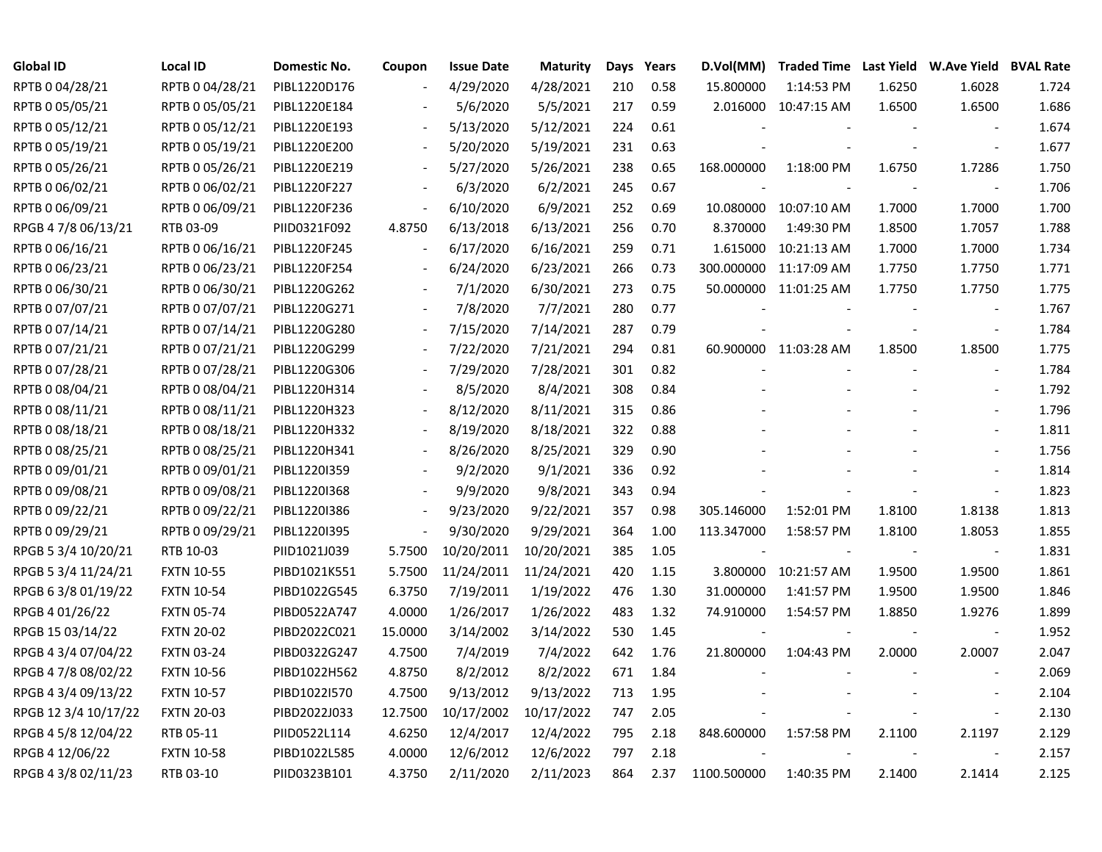| <b>Global ID</b>     | <b>Local ID</b>   | Domestic No. | Coupon                   | <b>Issue Date</b> | <b>Maturity</b> | Days | Years | D.Vol(MM)   |                        |        | Traded Time Last Yield W.Ave Yield BVAL Rate |       |
|----------------------|-------------------|--------------|--------------------------|-------------------|-----------------|------|-------|-------------|------------------------|--------|----------------------------------------------|-------|
| RPTB 0 04/28/21      | RPTB 0 04/28/21   | PIBL1220D176 |                          | 4/29/2020         | 4/28/2021       | 210  | 0.58  | 15.800000   | 1:14:53 PM             | 1.6250 | 1.6028                                       | 1.724 |
| RPTB 0 05/05/21      | RPTB 0 05/05/21   | PIBL1220E184 |                          | 5/6/2020          | 5/5/2021        | 217  | 0.59  |             | 2.016000 10:47:15 AM   | 1.6500 | 1.6500                                       | 1.686 |
| RPTB 0 05/12/21      | RPTB 0 05/12/21   | PIBL1220E193 |                          | 5/13/2020         | 5/12/2021       | 224  | 0.61  |             |                        |        |                                              | 1.674 |
| RPTB 0 05/19/21      | RPTB 0 05/19/21   | PIBL1220E200 | $\overline{\phantom{a}}$ | 5/20/2020         | 5/19/2021       | 231  | 0.63  |             |                        |        |                                              | 1.677 |
| RPTB 0 05/26/21      | RPTB 0 05/26/21   | PIBL1220E219 | $\overline{\phantom{a}}$ | 5/27/2020         | 5/26/2021       | 238  | 0.65  | 168.000000  | 1:18:00 PM             | 1.6750 | 1.7286                                       | 1.750 |
| RPTB 0 06/02/21      | RPTB 0 06/02/21   | PIBL1220F227 | $\blacksquare$           | 6/3/2020          | 6/2/2021        | 245  | 0.67  |             |                        |        |                                              | 1.706 |
| RPTB 0 06/09/21      | RPTB 0 06/09/21   | PIBL1220F236 | $\blacksquare$           | 6/10/2020         | 6/9/2021        | 252  | 0.69  |             | 10.080000 10:07:10 AM  | 1.7000 | 1.7000                                       | 1.700 |
| RPGB 4 7/8 06/13/21  | RTB 03-09         | PIID0321F092 | 4.8750                   | 6/13/2018         | 6/13/2021       | 256  | 0.70  | 8.370000    | 1:49:30 PM             | 1.8500 | 1.7057                                       | 1.788 |
| RPTB 0 06/16/21      | RPTB 0 06/16/21   | PIBL1220F245 |                          | 6/17/2020         | 6/16/2021       | 259  | 0.71  | 1.615000    | 10:21:13 AM            | 1.7000 | 1.7000                                       | 1.734 |
| RPTB 0 06/23/21      | RPTB 0 06/23/21   | PIBL1220F254 |                          | 6/24/2020         | 6/23/2021       | 266  | 0.73  |             | 300.000000 11:17:09 AM | 1.7750 | 1.7750                                       | 1.771 |
| RPTB 0 06/30/21      | RPTB 0 06/30/21   | PIBL1220G262 |                          | 7/1/2020          | 6/30/2021       | 273  | 0.75  |             | 50.000000 11:01:25 AM  | 1.7750 | 1.7750                                       | 1.775 |
| RPTB 0 07/07/21      | RPTB 0 07/07/21   | PIBL1220G271 |                          | 7/8/2020          | 7/7/2021        | 280  | 0.77  |             |                        |        |                                              | 1.767 |
| RPTB 0 07/14/21      | RPTB 0 07/14/21   | PIBL1220G280 |                          | 7/15/2020         | 7/14/2021       | 287  | 0.79  |             |                        |        | $\overline{\phantom{a}}$                     | 1.784 |
| RPTB 0 07/21/21      | RPTB 0 07/21/21   | PIBL1220G299 |                          | 7/22/2020         | 7/21/2021       | 294  | 0.81  |             | 60.900000 11:03:28 AM  | 1.8500 | 1.8500                                       | 1.775 |
| RPTB 0 07/28/21      | RPTB 0 07/28/21   | PIBL1220G306 |                          | 7/29/2020         | 7/28/2021       | 301  | 0.82  |             |                        |        |                                              | 1.784 |
| RPTB 0 08/04/21      | RPTB 0 08/04/21   | PIBL1220H314 |                          | 8/5/2020          | 8/4/2021        | 308  | 0.84  |             |                        |        |                                              | 1.792 |
| RPTB 0 08/11/21      | RPTB 0 08/11/21   | PIBL1220H323 |                          | 8/12/2020         | 8/11/2021       | 315  | 0.86  |             |                        |        |                                              | 1.796 |
| RPTB 0 08/18/21      | RPTB 0 08/18/21   | PIBL1220H332 | $\overline{\phantom{a}}$ | 8/19/2020         | 8/18/2021       | 322  | 0.88  |             |                        |        |                                              | 1.811 |
| RPTB 0 08/25/21      | RPTB 0 08/25/21   | PIBL1220H341 | $\overline{\phantom{a}}$ | 8/26/2020         | 8/25/2021       | 329  | 0.90  |             |                        |        |                                              | 1.756 |
| RPTB 0 09/01/21      | RPTB 0 09/01/21   | PIBL1220I359 | $\blacksquare$           | 9/2/2020          | 9/1/2021        | 336  | 0.92  |             |                        |        |                                              | 1.814 |
| RPTB 0 09/08/21      | RPTB 0 09/08/21   | PIBL1220I368 |                          | 9/9/2020          | 9/8/2021        | 343  | 0.94  |             |                        |        |                                              | 1.823 |
| RPTB 0 09/22/21      | RPTB 0 09/22/21   | PIBL1220I386 |                          | 9/23/2020         | 9/22/2021       | 357  | 0.98  | 305.146000  | 1:52:01 PM             | 1.8100 | 1.8138                                       | 1.813 |
| RPTB 0 09/29/21      | RPTB 0 09/29/21   | PIBL1220I395 | $\overline{\phantom{a}}$ | 9/30/2020         | 9/29/2021       | 364  | 1.00  | 113.347000  | 1:58:57 PM             | 1.8100 | 1.8053                                       | 1.855 |
| RPGB 5 3/4 10/20/21  | RTB 10-03         | PIID1021J039 | 5.7500                   | 10/20/2011        | 10/20/2021      | 385  | 1.05  |             |                        |        | $\sim$                                       | 1.831 |
| RPGB 5 3/4 11/24/21  | <b>FXTN 10-55</b> | PIBD1021K551 | 5.7500                   | 11/24/2011        | 11/24/2021      | 420  | 1.15  |             | 3.800000 10:21:57 AM   | 1.9500 | 1.9500                                       | 1.861 |
| RPGB 6 3/8 01/19/22  | <b>FXTN 10-54</b> | PIBD1022G545 | 6.3750                   | 7/19/2011         | 1/19/2022       | 476  | 1.30  | 31.000000   | 1:41:57 PM             | 1.9500 | 1.9500                                       | 1.846 |
| RPGB 4 01/26/22      | <b>FXTN 05-74</b> | PIBD0522A747 | 4.0000                   | 1/26/2017         | 1/26/2022       | 483  | 1.32  | 74.910000   | 1:54:57 PM             | 1.8850 | 1.9276                                       | 1.899 |
| RPGB 15 03/14/22     | <b>FXTN 20-02</b> | PIBD2022C021 | 15.0000                  | 3/14/2002         | 3/14/2022       | 530  | 1.45  |             |                        |        |                                              | 1.952 |
| RPGB 4 3/4 07/04/22  | <b>FXTN 03-24</b> | PIBD0322G247 | 4.7500                   | 7/4/2019          | 7/4/2022        | 642  | 1.76  | 21.800000   | 1:04:43 PM             | 2.0000 | 2.0007                                       | 2.047 |
| RPGB 4 7/8 08/02/22  | <b>FXTN 10-56</b> | PIBD1022H562 | 4.8750                   | 8/2/2012          | 8/2/2022        | 671  | 1.84  |             |                        |        |                                              | 2.069 |
| RPGB 4 3/4 09/13/22  | <b>FXTN 10-57</b> | PIBD1022I570 | 4.7500                   | 9/13/2012         | 9/13/2022       | 713  | 1.95  |             |                        |        |                                              | 2.104 |
| RPGB 12 3/4 10/17/22 | <b>FXTN 20-03</b> | PIBD2022J033 | 12.7500                  | 10/17/2002        | 10/17/2022      | 747  | 2.05  |             |                        |        |                                              | 2.130 |
| RPGB 4 5/8 12/04/22  | RTB 05-11         | PIID0522L114 | 4.6250                   | 12/4/2017         | 12/4/2022       | 795  | 2.18  | 848.600000  | 1:57:58 PM             | 2.1100 | 2.1197                                       | 2.129 |
| RPGB 4 12/06/22      | <b>FXTN 10-58</b> | PIBD1022L585 | 4.0000                   | 12/6/2012         | 12/6/2022       | 797  | 2.18  |             |                        |        |                                              | 2.157 |
| RPGB 4 3/8 02/11/23  | RTB 03-10         | PIID0323B101 | 4.3750                   | 2/11/2020         | 2/11/2023       | 864  | 2.37  | 1100.500000 | 1:40:35 PM             | 2.1400 | 2.1414                                       | 2.125 |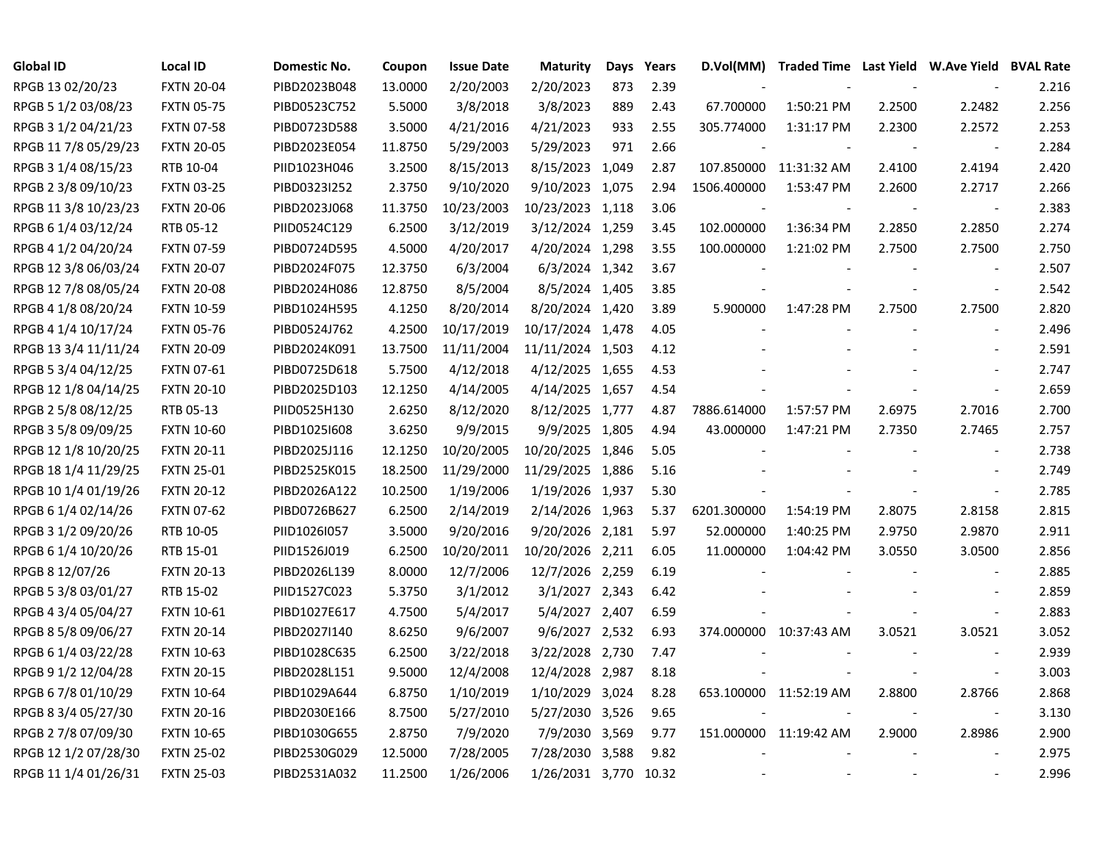| <b>Global ID</b>     | <b>Local ID</b>   | Domestic No. | Coupon  | <b>Issue Date</b> | <b>Maturity</b>       | Days | Years | D.Vol(MM)   | Traded Time Last Yield W.Ave Yield BVAL Rate |                |                          |       |
|----------------------|-------------------|--------------|---------|-------------------|-----------------------|------|-------|-------------|----------------------------------------------|----------------|--------------------------|-------|
| RPGB 13 02/20/23     | <b>FXTN 20-04</b> | PIBD2023B048 | 13.0000 | 2/20/2003         | 2/20/2023             | 873  | 2.39  |             |                                              |                |                          | 2.216 |
| RPGB 5 1/2 03/08/23  | <b>FXTN 05-75</b> | PIBD0523C752 | 5.5000  | 3/8/2018          | 3/8/2023              | 889  | 2.43  | 67.700000   | 1:50:21 PM                                   | 2.2500         | 2.2482                   | 2.256 |
| RPGB 3 1/2 04/21/23  | <b>FXTN 07-58</b> | PIBD0723D588 | 3.5000  | 4/21/2016         | 4/21/2023             | 933  | 2.55  | 305.774000  | 1:31:17 PM                                   | 2.2300         | 2.2572                   | 2.253 |
| RPGB 11 7/8 05/29/23 | <b>FXTN 20-05</b> | PIBD2023E054 | 11.8750 | 5/29/2003         | 5/29/2023             | 971  | 2.66  |             |                                              |                | $\overline{\phantom{a}}$ | 2.284 |
| RPGB 3 1/4 08/15/23  | RTB 10-04         | PIID1023H046 | 3.2500  | 8/15/2013         | 8/15/2023 1,049       |      | 2.87  |             | 107.850000 11:31:32 AM                       | 2.4100         | 2.4194                   | 2.420 |
| RPGB 2 3/8 09/10/23  | <b>FXTN 03-25</b> | PIBD0323I252 | 2.3750  | 9/10/2020         | 9/10/2023 1,075       |      | 2.94  | 1506.400000 | 1:53:47 PM                                   | 2.2600         | 2.2717                   | 2.266 |
| RPGB 11 3/8 10/23/23 | <b>FXTN 20-06</b> | PIBD2023J068 | 11.3750 | 10/23/2003        | 10/23/2023 1,118      |      | 3.06  |             |                                              |                | $\overline{\phantom{a}}$ | 2.383 |
| RPGB 6 1/4 03/12/24  | RTB 05-12         | PIID0524C129 | 6.2500  | 3/12/2019         | 3/12/2024 1,259       |      | 3.45  | 102.000000  | 1:36:34 PM                                   | 2.2850         | 2.2850                   | 2.274 |
| RPGB 4 1/2 04/20/24  | <b>FXTN 07-59</b> | PIBD0724D595 | 4.5000  | 4/20/2017         | 4/20/2024 1,298       |      | 3.55  | 100.000000  | 1:21:02 PM                                   | 2.7500         | 2.7500                   | 2.750 |
| RPGB 12 3/8 06/03/24 | <b>FXTN 20-07</b> | PIBD2024F075 | 12.3750 | 6/3/2004          | 6/3/2024 1,342        |      | 3.67  |             |                                              |                | $\overline{\phantom{a}}$ | 2.507 |
| RPGB 12 7/8 08/05/24 | <b>FXTN 20-08</b> | PIBD2024H086 | 12.8750 | 8/5/2004          | 8/5/2024 1,405        |      | 3.85  |             |                                              |                | $\overline{\phantom{a}}$ | 2.542 |
| RPGB 4 1/8 08/20/24  | <b>FXTN 10-59</b> | PIBD1024H595 | 4.1250  | 8/20/2014         | 8/20/2024 1,420       |      | 3.89  | 5.900000    | 1:47:28 PM                                   | 2.7500         | 2.7500                   | 2.820 |
| RPGB 4 1/4 10/17/24  | <b>FXTN 05-76</b> | PIBD0524J762 | 4.2500  | 10/17/2019        | 10/17/2024 1,478      |      | 4.05  |             |                                              |                | $\overline{\phantom{a}}$ | 2.496 |
| RPGB 13 3/4 11/11/24 | <b>FXTN 20-09</b> | PIBD2024K091 | 13.7500 | 11/11/2004        | 11/11/2024 1,503      |      | 4.12  |             |                                              |                | $\sim$                   | 2.591 |
| RPGB 5 3/4 04/12/25  | <b>FXTN 07-61</b> | PIBD0725D618 | 5.7500  | 4/12/2018         | 4/12/2025 1,655       |      | 4.53  |             |                                              |                |                          | 2.747 |
| RPGB 12 1/8 04/14/25 | <b>FXTN 20-10</b> | PIBD2025D103 | 12.1250 | 4/14/2005         | 4/14/2025 1,657       |      | 4.54  |             |                                              |                | $\overline{\phantom{a}}$ | 2.659 |
| RPGB 2 5/8 08/12/25  | RTB 05-13         | PIID0525H130 | 2.6250  | 8/12/2020         | 8/12/2025 1,777       |      | 4.87  | 7886.614000 | 1:57:57 PM                                   | 2.6975         | 2.7016                   | 2.700 |
| RPGB 3 5/8 09/09/25  | <b>FXTN 10-60</b> | PIBD1025I608 | 3.6250  | 9/9/2015          | 9/9/2025 1,805        |      | 4.94  | 43.000000   | 1:47:21 PM                                   | 2.7350         | 2.7465                   | 2.757 |
| RPGB 12 1/8 10/20/25 | <b>FXTN 20-11</b> | PIBD2025J116 | 12.1250 | 10/20/2005        | 10/20/2025 1,846      |      | 5.05  |             |                                              |                | $\mathbf{r}$             | 2.738 |
| RPGB 18 1/4 11/29/25 | <b>FXTN 25-01</b> | PIBD2525K015 | 18.2500 | 11/29/2000        | 11/29/2025 1,886      |      | 5.16  |             |                                              |                |                          | 2.749 |
| RPGB 10 1/4 01/19/26 | <b>FXTN 20-12</b> | PIBD2026A122 | 10.2500 | 1/19/2006         | 1/19/2026 1,937       |      | 5.30  |             |                                              |                | $\blacksquare$           | 2.785 |
| RPGB 6 1/4 02/14/26  | <b>FXTN 07-62</b> | PIBD0726B627 | 6.2500  | 2/14/2019         | 2/14/2026 1,963       |      | 5.37  | 6201.300000 | 1:54:19 PM                                   | 2.8075         | 2.8158                   | 2.815 |
| RPGB 3 1/2 09/20/26  | RTB 10-05         | PIID1026I057 | 3.5000  | 9/20/2016         | 9/20/2026 2,181       |      | 5.97  | 52.000000   | 1:40:25 PM                                   | 2.9750         | 2.9870                   | 2.911 |
| RPGB 6 1/4 10/20/26  | RTB 15-01         | PIID1526J019 | 6.2500  | 10/20/2011        | 10/20/2026 2,211      |      | 6.05  | 11.000000   | 1:04:42 PM                                   | 3.0550         | 3.0500                   | 2.856 |
| RPGB 8 12/07/26      | <b>FXTN 20-13</b> | PIBD2026L139 | 8.0000  | 12/7/2006         | 12/7/2026 2,259       |      | 6.19  |             |                                              |                | $\overline{a}$           | 2.885 |
| RPGB 5 3/8 03/01/27  | RTB 15-02         | PIID1527C023 | 5.3750  | 3/1/2012          | 3/1/2027 2,343        |      | 6.42  |             |                                              |                | $\mathbf{r}$             | 2.859 |
| RPGB 4 3/4 05/04/27  | <b>FXTN 10-61</b> | PIBD1027E617 | 4.7500  | 5/4/2017          | 5/4/2027 2,407        |      | 6.59  |             |                                              |                | $\overline{a}$           | 2.883 |
| RPGB 8 5/8 09/06/27  | <b>FXTN 20-14</b> | PIBD2027I140 | 8.6250  | 9/6/2007          | 9/6/2027 2,532        |      | 6.93  |             | 374.000000 10:37:43 AM                       | 3.0521         | 3.0521                   | 3.052 |
| RPGB 6 1/4 03/22/28  | <b>FXTN 10-63</b> | PIBD1028C635 | 6.2500  | 3/22/2018         | 3/22/2028 2,730       |      | 7.47  |             |                                              |                |                          | 2.939 |
| RPGB 9 1/2 12/04/28  | <b>FXTN 20-15</b> | PIBD2028L151 | 9.5000  | 12/4/2008         | 12/4/2028 2,987       |      | 8.18  |             |                                              |                | $\overline{\phantom{a}}$ | 3.003 |
| RPGB 6 7/8 01/10/29  | <b>FXTN 10-64</b> | PIBD1029A644 | 6.8750  | 1/10/2019         | 1/10/2029 3,024       |      | 8.28  |             | 653.100000 11:52:19 AM                       | 2.8800         | 2.8766                   | 2.868 |
| RPGB 8 3/4 05/27/30  | <b>FXTN 20-16</b> | PIBD2030E166 | 8.7500  | 5/27/2010         | 5/27/2030 3,526       |      | 9.65  |             |                                              | $\blacksquare$ | $\sim$                   | 3.130 |
| RPGB 2 7/8 07/09/30  | <b>FXTN 10-65</b> | PIBD1030G655 | 2.8750  | 7/9/2020          | 7/9/2030 3,569        |      | 9.77  |             | 151.000000 11:19:42 AM                       | 2.9000         | 2.8986                   | 2.900 |
| RPGB 12 1/2 07/28/30 | <b>FXTN 25-02</b> | PIBD2530G029 | 12.5000 | 7/28/2005         | 7/28/2030 3,588       |      | 9.82  |             |                                              |                |                          | 2.975 |
| RPGB 11 1/4 01/26/31 | <b>FXTN 25-03</b> | PIBD2531A032 | 11.2500 | 1/26/2006         | 1/26/2031 3,770 10.32 |      |       |             |                                              |                |                          | 2.996 |